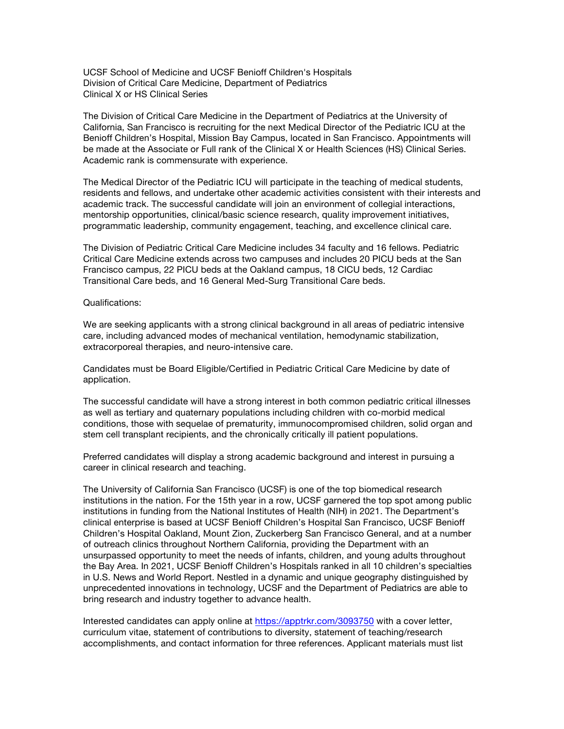UCSF School of Medicine and UCSF Benioff Children's Hospitals Division of Critical Care Medicine, Department of Pediatrics Clinical X or HS Clinical Series

The Division of Critical Care Medicine in the Department of Pediatrics at the University of California, San Francisco is recruiting for the next Medical Director of the Pediatric ICU at the Benioff Children's Hospital, Mission Bay Campus, located in San Francisco. Appointments will be made at the Associate or Full rank of the Clinical X or Health Sciences (HS) Clinical Series. Academic rank is commensurate with experience.

The Medical Director of the Pediatric ICU will participate in the teaching of medical students, residents and fellows, and undertake other academic activities consistent with their interests and academic track. The successful candidate will join an environment of collegial interactions, mentorship opportunities, clinical/basic science research, quality improvement initiatives, programmatic leadership, community engagement, teaching, and excellence clinical care.

The Division of Pediatric Critical Care Medicine includes 34 faculty and 16 fellows. Pediatric Critical Care Medicine extends across two campuses and includes 20 PICU beds at the San Francisco campus, 22 PICU beds at the Oakland campus, 18 CICU beds, 12 Cardiac Transitional Care beds, and 16 General Med-Surg Transitional Care beds.

## Qualifications:

We are seeking applicants with a strong clinical background in all areas of pediatric intensive care, including advanced modes of mechanical ventilation, hemodynamic stabilization, extracorporeal therapies, and neuro-intensive care.

Candidates must be Board Eligible/Certified in Pediatric Critical Care Medicine by date of application.

The successful candidate will have a strong interest in both common pediatric critical illnesses as well as tertiary and quaternary populations including children with co-morbid medical conditions, those with sequelae of prematurity, immunocompromised children, solid organ and stem cell transplant recipients, and the chronically critically ill patient populations.

Preferred candidates will display a strong academic background and interest in pursuing a career in clinical research and teaching.

The University of California San Francisco (UCSF) is one of the top biomedical research institutions in the nation. For the 15th year in a row, UCSF garnered the top spot among public institutions in funding from the National Institutes of Health (NIH) in 2021. The Department's clinical enterprise is based at UCSF Benioff Children's Hospital San Francisco, UCSF Benioff Children's Hospital Oakland, Mount Zion, Zuckerberg San Francisco General, and at a number of outreach clinics throughout Northern California, providing the Department with an unsurpassed opportunity to meet the needs of infants, children, and young adults throughout the Bay Area. In 2021, UCSF Benioff Children's Hospitals ranked in all 10 children's specialties in U.S. News and World Report. Nestled in a dynamic and unique geography distinguished by unprecedented innovations in technology, UCSF and the Department of Pediatrics are able to bring research and industry together to advance health.

Interested candidates can apply online at https://apptrkr.com/3093750 with a cover letter, curriculum vitae, statement of contributions to diversity, statement of teaching/research accomplishments, and contact information for three references. Applicant materials must list